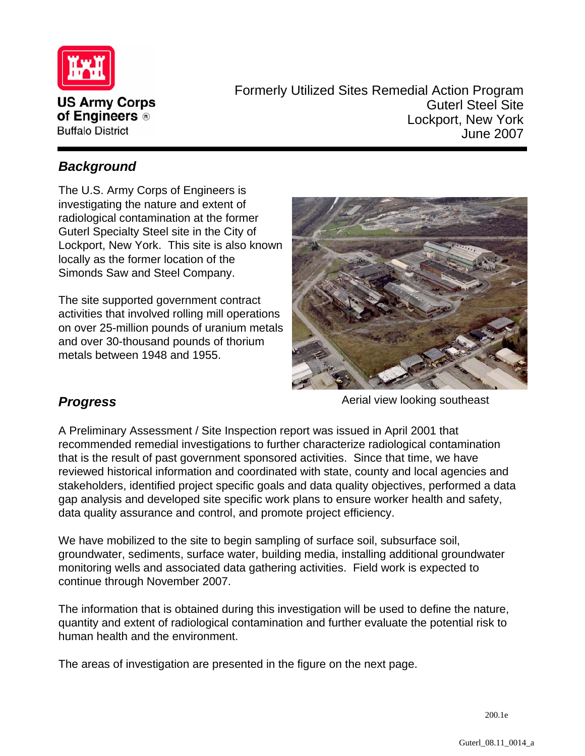

Formerly Utilized Sites Remedial Action Program Guterl Steel Site Lockport, New York June 2007

## *Background*

The U.S. Army Corps of Engineers is investigating the nature and extent of radiological contamination at the former Guterl Specialty Steel site in the City of Lockport, New York. This site is also known locally as the former location of the Simonds Saw and Steel Company.

The site supported government contract activities that involved rolling mill operations on over 25-million pounds of uranium metals and over 30-thousand pounds of thorium metals between 1948 and 1955.



# *Progress*

Aerial view looking southeast

A Preliminary Assessment / Site Inspection report was issued in April 2001 that recommended remedial investigations to further characterize radiological contamination that is the result of past government sponsored activities. Since that time, we have reviewed historical information and coordinated with state, county and local agencies and stakeholders, identified project specific goals and data quality objectives, performed a data gap analysis and developed site specific work plans to ensure worker health and safety, data quality assurance and control, and promote project efficiency.

We have mobilized to the site to begin sampling of surface soil, subsurface soil, groundwater, sediments, surface water, building media, installing additional groundwater monitoring wells and associated data gathering activities. Field work is expected to continue through November 2007.

The information that is obtained during this investigation will be used to define the nature, quantity and extent of radiological contamination and further evaluate the potential risk to human health and the environment.

The areas of investigation are presented in the figure on the next page.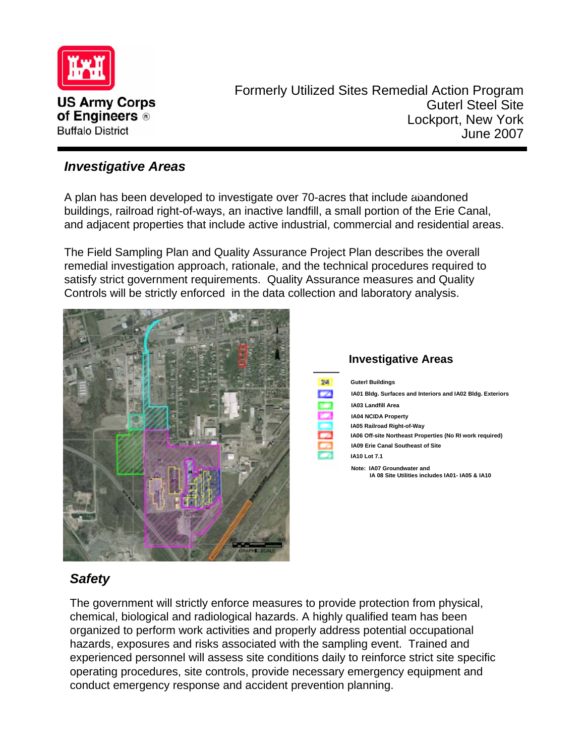

Formerly Utilized Sites Remedial Action Program Guterl Steel Site Lockport, New York June 2007

#### *Investigative Areas*

A plan has been developed to investigate over 70-acres that include abandoned buildings, railroad right-of-ways, an inactive landfill, a small portion of the Erie Canal, and adjacent properties that include active industrial, commercial and residential areas.

The Field Sampling Plan and Quality Assurance Project Plan describes the overall remedial investigation approach, rationale, and the technical procedures required to satisfy strict government requirements. Quality Assurance measures and Quality Controls will be strictly enforced in the data collection and laboratory analysis.





# *Safety*

The government will strictly enforce measures to provide protection from physical, chemical, biological and radiological hazards. A highly qualified team has been organized to perform work activities and properly address potential occupational hazards, exposures and risks associated with the sampling event. Trained and experienced personnel will assess site conditions daily to reinforce strict site specific operating procedures, site controls, provide necessary emergency equipment and conduct emergency response and accident prevention planning.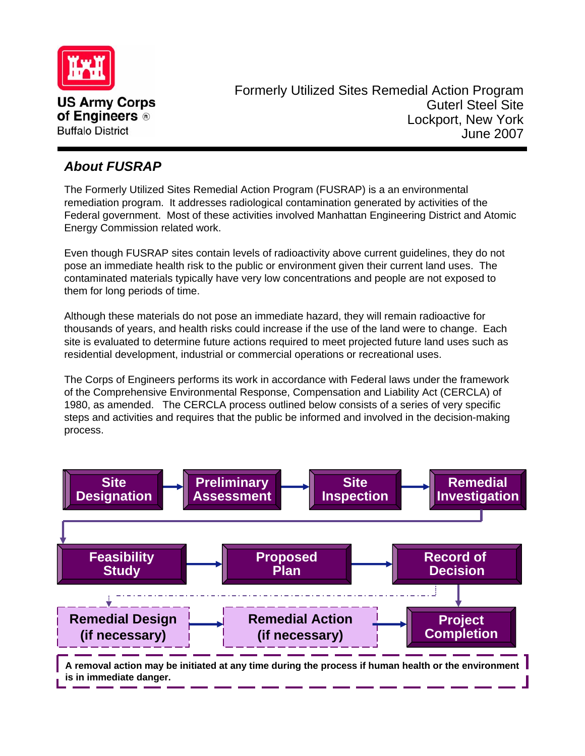

### *About FUSRAP*

The Formerly Utilized Sites Remedial Action Program (FUSRAP) is a an environmental remediation program. It addresses radiological contamination generated by activities of the Federal government. Most of these activities involved Manhattan Engineering District and Atomic Energy Commission related work.

Even though FUSRAP sites contain levels of radioactivity above current guidelines, they do not pose an immediate health risk to the public or environment given their current land uses. The contaminated materials typically have very low concentrations and people are not exposed to them for long periods of time.

Although these materials do not pose an immediate hazard, they will remain radioactive for thousands of years, and health risks could increase if the use of the land were to change. Each site is evaluated to determine future actions required to meet projected future land uses such as residential development, industrial or commercial operations or recreational uses.

The Corps of Engineers performs its work in accordance with Federal laws under the framework of the Comprehensive Environmental Response, Compensation and Liability Act (CERCLA) of 1980, as amended. The CERCLA process outlined below consists of a series of very specific steps and activities and requires that the public be informed and involved in the decision-making process.